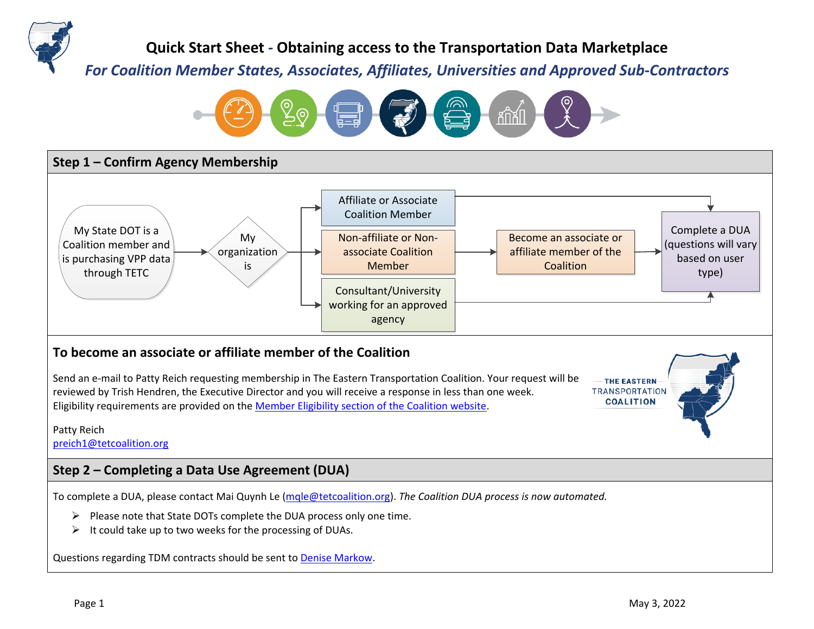

**Quick Start Sheet** *-* **Obtaining access to the Transportation Data Marketplace**

*For Coalition Member States, Associates, Affiliates, Universities and Approved Sub-Contractors*